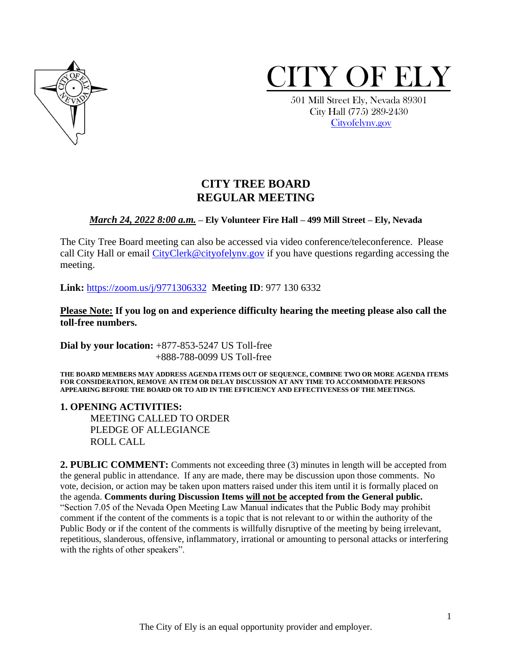



 501 Mill Street Ely, Nevada 89301 City Hall (775) 289-2430 [Cityofelynv.gov](mailto:Cityofelynv.gov) 

# **CITY TREE BOARD REGULAR MEETING**

#### *March 24, 2022 8:00 a.m.* **– Ely Volunteer Fire Hall – 499 Mill Street – Ely, Nevada**

The City Tree Board meeting can also be accessed via video conference/teleconference. Please call City Hall or email CityClerk@cityofelyny.gov if you have questions regarding accessing the meeting.

**Link:** [https://zoom.us/j/9771306332](https://zoom.us/j/9771306332?status=success) **Meeting ID**: 977 130 6332

**Please Note: If you log on and experience difficulty hearing the meeting please also call the toll-free numbers.** 

**Dial by your location:** +877-853-5247 US Toll-free +888-788-0099 US Toll-free

**THE BOARD MEMBERS MAY ADDRESS AGENDA ITEMS OUT OF SEQUENCE, COMBINE TWO OR MORE AGENDA ITEMS FOR CONSIDERATION, REMOVE AN ITEM OR DELAY DISCUSSION AT ANY TIME TO ACCOMMODATE PERSONS APPEARING BEFORE THE BOARD OR TO AID IN THE EFFICIENCY AND EFFECTIVENESS OF THE MEETINGS.**

**1. OPENING ACTIVITIES:** 

MEETING CALLED TO ORDER PLEDGE OF ALLEGIANCE ROLL CALL

**2. PUBLIC COMMENT:** Comments not exceeding three (3) minutes in length will be accepted from the general public in attendance. If any are made, there may be discussion upon those comments. No vote, decision, or action may be taken upon matters raised under this item until it is formally placed on the agenda. **Comments during Discussion Items will not be accepted from the General public.**  "Section 7.05 of the Nevada Open Meeting Law Manual indicates that the Public Body may prohibit comment if the content of the comments is a topic that is not relevant to or within the authority of the Public Body or if the content of the comments is willfully disruptive of the meeting by being irrelevant, repetitious, slanderous, offensive, inflammatory, irrational or amounting to personal attacks or interfering with the rights of other speakers".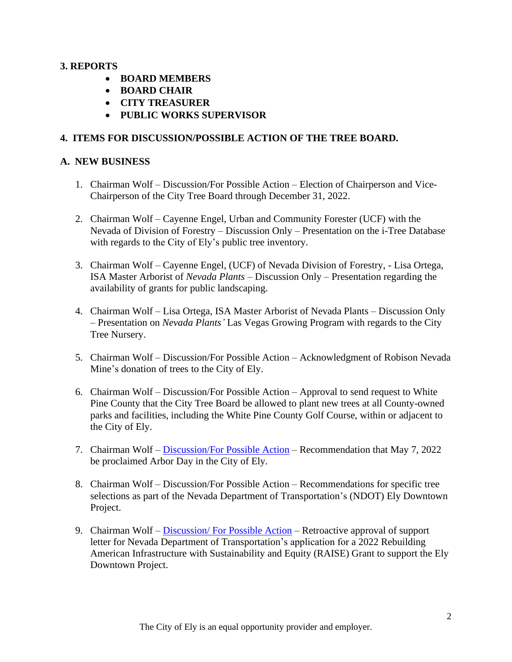## **3. REPORTS**

- **BOARD MEMBERS**
- **BOARD CHAIR**
- **CITY TREASURER**
- **PUBLIC WORKS SUPERVISOR**

## **4. ITEMS FOR DISCUSSION/POSSIBLE ACTION OF THE TREE BOARD.**

#### **A. NEW BUSINESS**

- 1. Chairman Wolf Discussion/For Possible Action Election of Chairperson and Vice-Chairperson of the City Tree Board through December 31, 2022.
- 2. Chairman Wolf Cayenne Engel, Urban and Community Forester (UCF) with the Nevada of Division of Forestry – Discussion Only – Presentation on the i-Tree Database with regards to the City of Ely's public tree inventory.
- 3. Chairman Wolf Cayenne Engel, (UCF) of Nevada Division of Forestry, Lisa Ortega, ISA Master Arborist of *Nevada Plants* – Discussion Only – Presentation regarding the availability of grants for public landscaping.
- 4. Chairman Wolf Lisa Ortega, ISA Master Arborist of Nevada Plants Discussion Only – Presentation on *Nevada Plants'* Las Vegas Growing Program with regards to the City Tree Nursery.
- 5. Chairman Wolf Discussion/For Possible Action Acknowledgment of Robison Nevada Mine's donation of trees to the City of Ely.
- 6. Chairman Wolf Discussion/For Possible Action Approval to send request to White Pine County that the City Tree Board be allowed to plant new trees at all County-owned parks and facilities, including the White Pine County Golf Course, within or adjacent to the City of Ely.
- 7. Chairman Wolf [Discussion/For Possible Action](https://www.cityofelynv.gov/pdf/TreeBoard/TB3-24-22/ArborDay2022ProclamationTemplate.pdf) Recommendation that May 7, 2022 be proclaimed Arbor Day in the City of Ely.
- 8. Chairman Wolf Discussion/For Possible Action Recommendations for specific tree selections as part of the Nevada Department of Transportation's (NDOT) Ely Downtown Project.
- 9. Chairman Wolf Discussion/For Possible Action Retroactive approval of support letter for Nevada Department of Transportation's application for a 2022 Rebuilding American Infrastructure with Sustainability and Equity (RAISE) Grant to support the Ely Downtown Project.